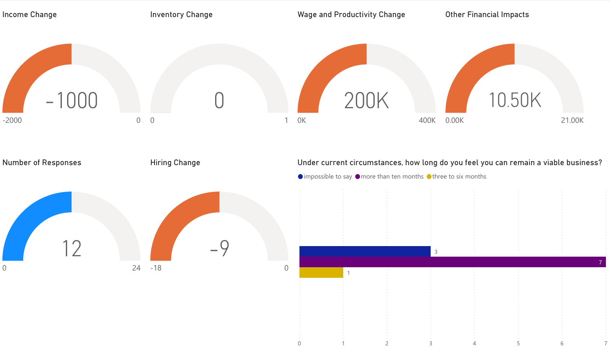